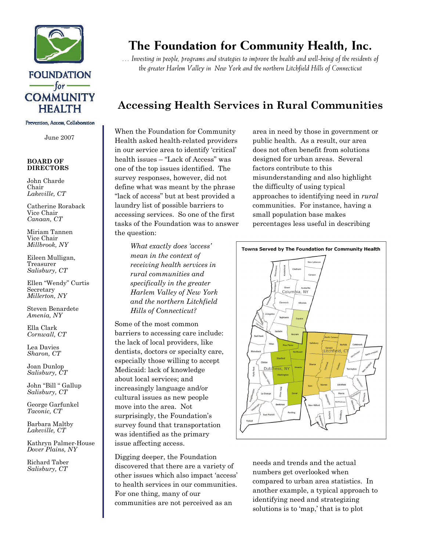

### **FOUNDATION** — for — **COMMUNITY HEALTH**

Prevention, Access, Collaboration

June 2007

#### **BOARD OF DIRECTORS**

John Charde Chair *Lakeville, CT* 

Catherine Roraback Vice Chair *Canaan, CT* 

Miriam Tannen Vice Chair *Millbrook, NY* 

Eileen Mulligan, Treasurer *Salisbury, CT* 

Ellen "Wendy" Curtis Secretary *Millerton, NY* 

Steven Benardete *Amenia, NY* 

Ella Clark *Cornwall, CT* 

Lea Davies *Sharon, CT* 

Joan Dunlop *Salisbury, CT* 

John "Bill " Gallup *Salisbury, CT* 

George Garfunkel *Taconic, CT* 

Barbara Maltby *Lakeville, CT* 

Kathryn Palmer-House *Dover Plains, NY* 

Richard Taber *Salisbury, CT*

# **The Foundation for Community Health, Inc.**

*… Investing in people, programs and strategies to improve the health and well-being of the residents of the greater Harlem Valley in New York and the northern Litchfield Hills of Connecticut* 

## **Accessing Health Services in Rural Communities**

When the Foundation for Community Health asked health-related providers in our service area to identify 'critical' health issues – "Lack of Access" was one of the top issues identified. The survey responses, however, did not define what was meant by the phrase "lack of access" but at best provided a laundry list of possible barriers to accessing services. So one of the first tasks of the Foundation was to answer the question:

area in need by those in government or public health. As a result, our area does not often benefit from solutions designed for urban areas. Several factors contribute to this misunderstanding and also highlight the difficulty of using typical approaches to identifying need in *rural* communities. For instance, having a small population base makes percentages less useful in describing

*What exactly does 'access' mean in the context of receiving health services in rural communities and specifically in the greater Harlem Valley of New York and the northern Litchfield Hills of Connecticut?* 

Some of the most common barriers to accessing care include: the lack of local providers, like dentists, doctors or specialty care, especially those willing to accept Medicaid: lack of knowledge about local services; and increasingly language and/or cultural issues as new people move into the area. Not surprisingly, the Foundation's survey found that transportation was identified as the primary issue affecting access.

Digging deeper, the Foundation discovered that there are a variety of other issues which also impact 'access' to health services in our communities. For one thing, many of our communities are not perceived as an



needs and trends and the actual numbers get overlooked when compared to urban area statistics. In another example, a typical approach to identifying need and strategizing solutions is to 'map,' that is to plot